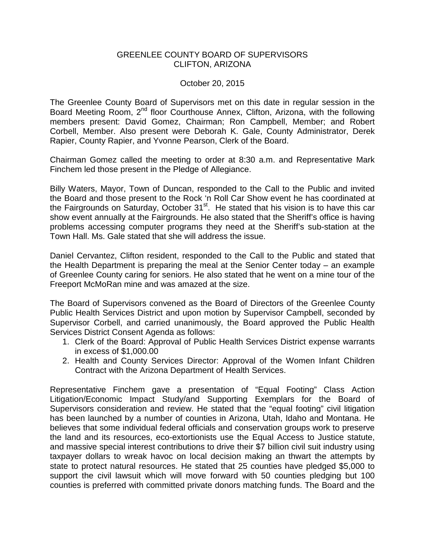## GREENLEE COUNTY BOARD OF SUPERVISORS CLIFTON, ARIZONA

# October 20, 2015

The Greenlee County Board of Supervisors met on this date in regular session in the Board Meeting Room, 2<sup>nd</sup> floor Courthouse Annex, Clifton, Arizona, with the following members present: David Gomez, Chairman; Ron Campbell, Member; and Robert Corbell, Member. Also present were Deborah K. Gale, County Administrator, Derek Rapier, County Rapier, and Yvonne Pearson, Clerk of the Board.

Chairman Gomez called the meeting to order at 8:30 a.m. and Representative Mark Finchem led those present in the Pledge of Allegiance.

Billy Waters, Mayor, Town of Duncan, responded to the Call to the Public and invited the Board and those present to the Rock 'n Roll Car Show event he has coordinated at the Fairgrounds on Saturday, October  $31<sup>st</sup>$ . He stated that his vision is to have this car show event annually at the Fairgrounds. He also stated that the Sheriff's office is having problems accessing computer programs they need at the Sheriff's sub-station at the Town Hall. Ms. Gale stated that she will address the issue.

Daniel Cervantez, Clifton resident, responded to the Call to the Public and stated that the Health Department is preparing the meal at the Senior Center today – an example of Greenlee County caring for seniors. He also stated that he went on a mine tour of the Freeport McMoRan mine and was amazed at the size.

The Board of Supervisors convened as the Board of Directors of the Greenlee County Public Health Services District and upon motion by Supervisor Campbell, seconded by Supervisor Corbell, and carried unanimously, the Board approved the Public Health Services District Consent Agenda as follows:

- 1. Clerk of the Board: Approval of Public Health Services District expense warrants in excess of \$1,000.00
- 2. Health and County Services Director: Approval of the Women Infant Children Contract with the Arizona Department of Health Services.

Representative Finchem gave a presentation of "Equal Footing" Class Action Litigation/Economic Impact Study/and Supporting Exemplars for the Board of Supervisors consideration and review. He stated that the "equal footing" civil litigation has been launched by a number of counties in Arizona, Utah, Idaho and Montana. He believes that some individual federal officials and conservation groups work to preserve the land and its resources, eco-extortionists use the Equal Access to Justice statute, and massive special interest contributions to drive their \$7 billion civil suit industry using taxpayer dollars to wreak havoc on local decision making an thwart the attempts by state to protect natural resources. He stated that 25 counties have pledged \$5,000 to support the civil lawsuit which will move forward with 50 counties pledging but 100 counties is preferred with committed private donors matching funds. The Board and the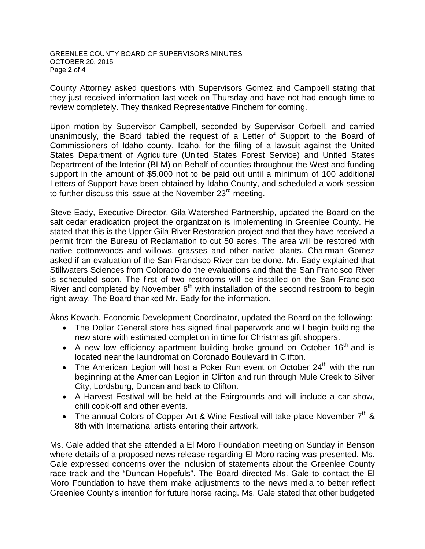#### GREENLEE COUNTY BOARD OF SUPERVISORS MINUTES OCTOBER 20, 2015 Page **2** of **4**

County Attorney asked questions with Supervisors Gomez and Campbell stating that they just received information last week on Thursday and have not had enough time to review completely. They thanked Representative Finchem for coming.

Upon motion by Supervisor Campbell, seconded by Supervisor Corbell, and carried unanimously, the Board tabled the request of a Letter of Support to the Board of Commissioners of Idaho county, Idaho, for the filing of a lawsuit against the United States Department of Agriculture (United States Forest Service) and United States Department of the Interior (BLM) on Behalf of counties throughout the West and funding support in the amount of \$5,000 not to be paid out until a minimum of 100 additional Letters of Support have been obtained by Idaho County, and scheduled a work session to further discuss this issue at the November 23<sup>rd</sup> meeting.

Steve Eady, Executive Director, Gila Watershed Partnership, updated the Board on the salt cedar eradication project the organization is implementing in Greenlee County. He stated that this is the Upper Gila River Restoration project and that they have received a permit from the Bureau of Reclamation to cut 50 acres. The area will be restored with native cottonwoods and willows, grasses and other native plants. Chairman Gomez asked if an evaluation of the San Francisco River can be done. Mr. Eady explained that Stillwaters Sciences from Colorado do the evaluations and that the San Francisco River is scheduled soon. The first of two restrooms will be installed on the San Francisco River and completed by November  $6<sup>th</sup>$  with installation of the second restroom to begin right away. The Board thanked Mr. Eady for the information.

Ákos Kovach, Economic Development Coordinator, updated the Board on the following:

- The Dollar General store has signed final paperwork and will begin building the new store with estimated completion in time for Christmas gift shoppers.
- A new low efficiency apartment building broke ground on October  $16<sup>th</sup>$  and is located near the laundromat on Coronado Boulevard in Clifton.
- The American Legion will host a Poker Run event on October 24<sup>th</sup> with the run beginning at the American Legion in Clifton and run through Mule Creek to Silver City, Lordsburg, Duncan and back to Clifton.
- A Harvest Festival will be held at the Fairgrounds and will include a car show, chili cook-off and other events.
- The annual Colors of Copper Art & Wine Festival will take place November  $7<sup>th</sup>$  & 8th with International artists entering their artwork.

Ms. Gale added that she attended a El Moro Foundation meeting on Sunday in Benson where details of a proposed news release regarding El Moro racing was presented. Ms. Gale expressed concerns over the inclusion of statements about the Greenlee County race track and the "Duncan Hopefuls". The Board directed Ms. Gale to contact the El Moro Foundation to have them make adjustments to the news media to better reflect Greenlee County's intention for future horse racing. Ms. Gale stated that other budgeted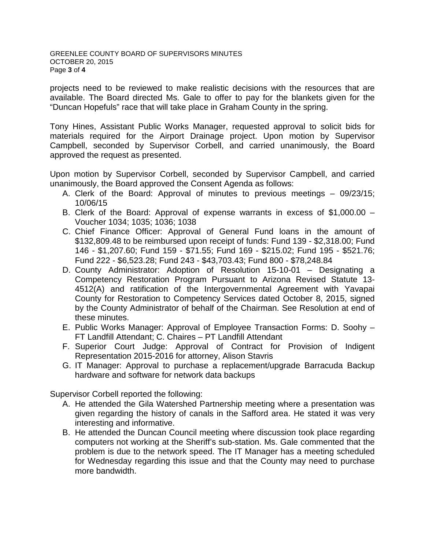projects need to be reviewed to make realistic decisions with the resources that are available. The Board directed Ms. Gale to offer to pay for the blankets given for the "Duncan Hopefuls" race that will take place in Graham County in the spring.

Tony Hines, Assistant Public Works Manager, requested approval to solicit bids for materials required for the Airport Drainage project. Upon motion by Supervisor Campbell, seconded by Supervisor Corbell, and carried unanimously, the Board approved the request as presented.

Upon motion by Supervisor Corbell, seconded by Supervisor Campbell, and carried unanimously, the Board approved the Consent Agenda as follows:

- A. Clerk of the Board: Approval of minutes to previous meetings 09/23/15; 10/06/15
- B. Clerk of the Board: Approval of expense warrants in excess of \$1,000.00 Voucher 1034; 1035; 1036; 1038
- C. Chief Finance Officer: Approval of General Fund loans in the amount of \$132,809.48 to be reimbursed upon receipt of funds: Fund 139 - \$2,318.00; Fund 146 - \$1,207.60; Fund 159 - \$71.55; Fund 169 - \$215.02; Fund 195 - \$521.76; Fund 222 - \$6,523.28; Fund 243 - \$43,703.43; Fund 800 - \$78,248.84
- D. County Administrator: Adoption of Resolution 15-10-01 Designating a Competency Restoration Program Pursuant to Arizona Revised Statute 13- 4512(A) and ratification of the Intergovernmental Agreement with Yavapai County for Restoration to Competency Services dated October 8, 2015, signed by the County Administrator of behalf of the Chairman. See Resolution at end of these minutes.
- E. Public Works Manager: Approval of Employee Transaction Forms: D. Soohy FT Landfill Attendant; C. Chaires – PT Landfill Attendant
- F. Superior Court Judge: Approval of Contract for Provision of Indigent Representation 2015-2016 for attorney, Alison Stavris
- G. IT Manager: Approval to purchase a replacement/upgrade Barracuda Backup hardware and software for network data backups

Supervisor Corbell reported the following:

- A. He attended the Gila Watershed Partnership meeting where a presentation was given regarding the history of canals in the Safford area. He stated it was very interesting and informative.
- B. He attended the Duncan Council meeting where discussion took place regarding computers not working at the Sheriff's sub-station. Ms. Gale commented that the problem is due to the network speed. The IT Manager has a meeting scheduled for Wednesday regarding this issue and that the County may need to purchase more bandwidth.